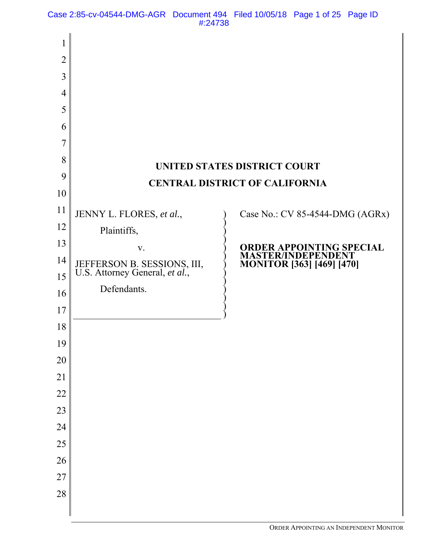Case 2:85-cv-04544-DMG-AGR Document 494 Filed 10/05/18 Page 1 of 25 Page ID #:24738

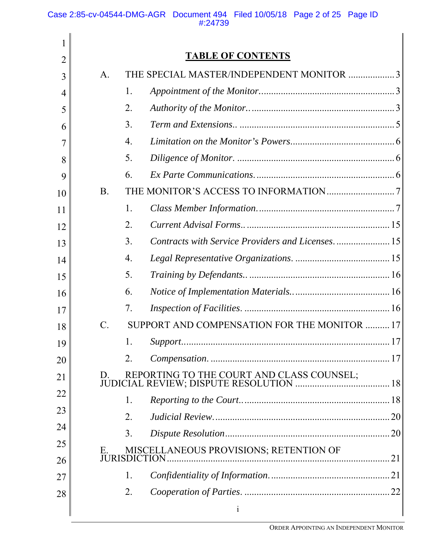| 1  |                                                                |
|----|----------------------------------------------------------------|
| 2  | <b>TABLE OF CONTENTS</b>                                       |
| 3  | THE SPECIAL MASTER/INDEPENDENT MONITOR 3<br>A.                 |
| 4  | 1.                                                             |
| 5  | 2.                                                             |
| 6  | 3.                                                             |
| 7  | 4.                                                             |
| 8  | 5.                                                             |
| 9  | 6.                                                             |
| 10 | <b>B.</b>                                                      |
| 11 | 1.                                                             |
| 12 | 2.                                                             |
| 13 | Contracts with Service Providers and Licenses 15<br>3.         |
| 14 | 4.                                                             |
| 15 | 5.                                                             |
| 16 | 6.                                                             |
| 17 | 7.                                                             |
| 18 | SUPPORT AND COMPENSATION FOR THE MONITOR 17<br>$\mathcal{C}$ . |
| 19 | 1.                                                             |
| 20 | 2.                                                             |
| 21 |                                                                |
| 22 | 1.                                                             |
| 23 | 2.                                                             |
| 24 | 3.                                                             |
| 25 | MISCELLANEOUS PROVISIONS; RETENTION OF<br>Е.                   |
| 26 |                                                                |
| 27 | 1.                                                             |
| 28 | 2.                                                             |
|    | $\mathbf{i}$                                                   |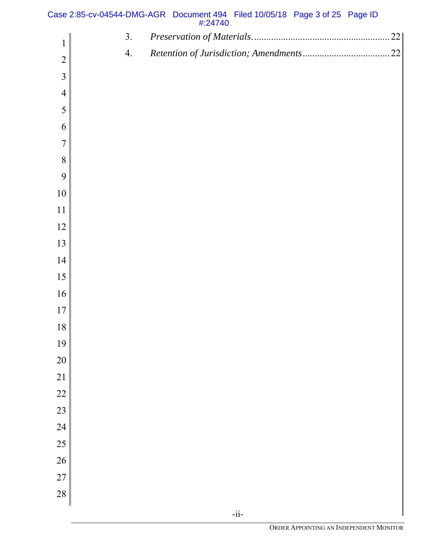| Case 2:85-cv-04544-DMG-AGR Document 494 Filed 10/05/18 Page 3 of 25 Page ID |         |  |  |
|-----------------------------------------------------------------------------|---------|--|--|
|                                                                             | #:24740 |  |  |

|                | 3. | 22 |
|----------------|----|----|
| $\mathbf{1}$   | 4. |    |
| $\overline{2}$ |    |    |
| $\overline{3}$ |    |    |
| $\overline{4}$ |    |    |
| 5              |    |    |
| 6              |    |    |
| $\overline{7}$ |    |    |
| $8\,$          |    |    |
| 9              |    |    |
| $10\,$         |    |    |
| $11$           |    |    |
| 12             |    |    |
| 13             |    |    |
| 14             |    |    |
| 15             |    |    |
| 16             |    |    |
| $17$           |    |    |
| $18\,$         |    |    |
| 19             |    |    |
| 20             |    |    |
| 21             |    |    |
| 22             |    |    |
| 23             |    |    |
| 24             |    |    |
| 25             |    |    |
| 26             |    |    |
| 27             |    |    |
| 28             |    |    |
|                |    |    |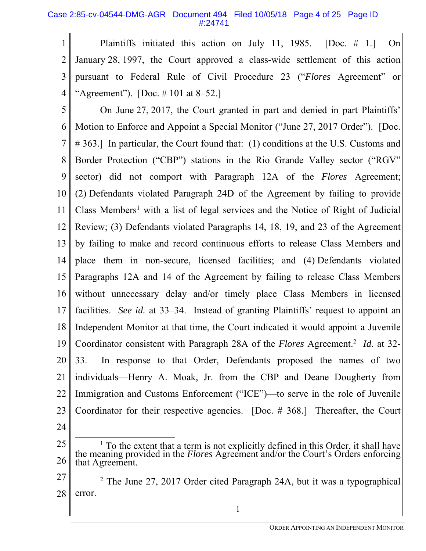## Case 2:85-cv-04544-DMG-AGR Document 494 Filed 10/05/18 Page 4 of 25 Page ID #:24741

1 2 3 4 Plaintiffs initiated this action on July 11, 1985. [Doc. # 1.] On January 28, 1997, the Court approved a class-wide settlement of this action pursuant to Federal Rule of Civil Procedure 23 ("*Flores* Agreement" or "Agreement"). [Doc. # 101 at 8–52.]

5 6 7 8 9 10 11 12 13 14 15 16 17 18 19 20 21 22 23 24 On June 27, 2017, the Court granted in part and denied in part Plaintiffs' Motion to Enforce and Appoint a Special Monitor ("June 27, 2017 Order"). [Doc. # 363.] In particular, the Court found that: (1) conditions at the U.S. Customs and Border Protection ("CBP") stations in the Rio Grande Valley sector ("RGV" sector) did not comport with Paragraph 12A of the *Flores* Agreement; (2) Defendants violated Paragraph 24D of the Agreement by failing to provide Class Members<sup>1</sup> with a list of legal services and the Notice of Right of Judicial Review; (3) Defendants violated Paragraphs 14, 18, 19, and 23 of the Agreement by failing to make and record continuous efforts to release Class Members and place them in non-secure, licensed facilities; and (4) Defendants violated Paragraphs 12A and 14 of the Agreement by failing to release Class Members without unnecessary delay and/or timely place Class Members in licensed facilities. *See id.* at 33–34. Instead of granting Plaintiffs' request to appoint an Independent Monitor at that time, the Court indicated it would appoint a Juvenile Coordinator consistent with Paragraph 28A of the *Flores* Agreement.<sup>2</sup> *Id*. at 32-33. In response to that Order, Defendants proposed the names of two individuals—Henry A. Moak, Jr. from the CBP and Deane Dougherty from Immigration and Customs Enforcement ("ICE")—to serve in the role of Juvenile Coordinator for their respective agencies. [Doc. # 368.] Thereafter, the Court

<sup>25</sup>  26  $\frac{1}{1}$ To the extent that a term is not explicitly defined in this Order, it shall have the meaning provided in the *Flores* Agreement and/or the Court's Orders enforcing that Agreement.

<sup>27</sup>  28 <sup>2</sup> The June 27, 2017 Order cited Paragraph 24A, but it was a typographical error.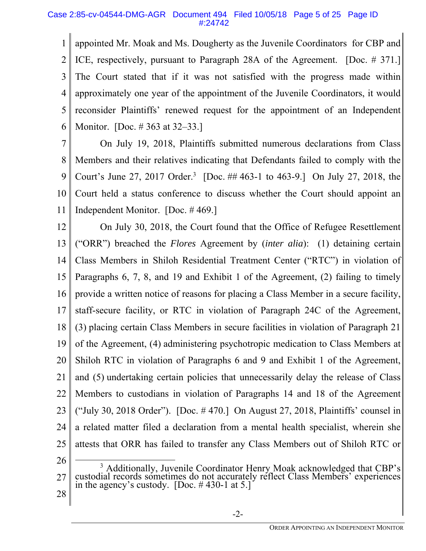## Case 2:85-cv-04544-DMG-AGR Document 494 Filed 10/05/18 Page 5 of 25 Page ID #:24742

1 2 3 4 5 6 appointed Mr. Moak and Ms. Dougherty as the Juvenile Coordinators for CBP and ICE, respectively, pursuant to Paragraph 28A of the Agreement. [Doc. # 371.] The Court stated that if it was not satisfied with the progress made within approximately one year of the appointment of the Juvenile Coordinators, it would reconsider Plaintiffs' renewed request for the appointment of an Independent Monitor. [Doc. # 363 at 32–33.]

7 8 9 10 11 On July 19, 2018, Plaintiffs submitted numerous declarations from Class Members and their relatives indicating that Defendants failed to comply with the Court's June 27, 2017 Order.<sup>3</sup> [Doc. ## 463-1 to 463-9.] On July 27, 2018, the Court held a status conference to discuss whether the Court should appoint an Independent Monitor. [Doc. # 469.]

12 13 14 15 16 17 18 19 20 21 22 23 24 25 26 On July 30, 2018, the Court found that the Office of Refugee Resettlement ("ORR") breached the *Flores* Agreement by (*inter alia*): (1) detaining certain Class Members in Shiloh Residential Treatment Center ("RTC") in violation of Paragraphs 6, 7, 8, and 19 and Exhibit 1 of the Agreement, (2) failing to timely provide a written notice of reasons for placing a Class Member in a secure facility, staff-secure facility, or RTC in violation of Paragraph 24C of the Agreement, (3) placing certain Class Members in secure facilities in violation of Paragraph 21 of the Agreement, (4) administering psychotropic medication to Class Members at Shiloh RTC in violation of Paragraphs 6 and 9 and Exhibit 1 of the Agreement, and (5) undertaking certain policies that unnecessarily delay the release of Class Members to custodians in violation of Paragraphs 14 and 18 of the Agreement ("July 30, 2018 Order"). [Doc. # 470.] On August 27, 2018, Plaintiffs' counsel in a related matter filed a declaration from a mental health specialist, wherein she attests that ORR has failed to transfer any Class Members out of Shiloh RTC or  $\overline{\phantom{a}}$ 

<sup>27</sup>   $3$  Additionally, Juvenile Coordinator Henry Moak acknowledged that CBP's custodial records sometimes do not accurately reflect Class Members' experiences in the agency's custody. [Doc. # 430-1 at 5.]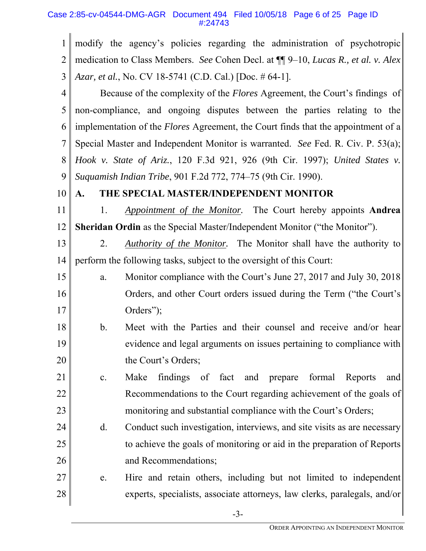## Case 2:85-cv-04544-DMG-AGR Document 494 Filed 10/05/18 Page 6 of 25 Page ID #:24743

1 2 3 modify the agency's policies regarding the administration of psychotropic medication to Class Members. *See* Cohen Decl. at ¶¶ 9–10, *Lucas R., et al. v. Alex Azar, et al.*, No. CV 18-5741 (C.D. Cal.) [Doc. # 64-1].

4 5 6 7 8 9 Because of the complexity of the *Flores* Agreement, the Court's findings of non-compliance, and ongoing disputes between the parties relating to the implementation of the *Flores* Agreement, the Court finds that the appointment of a Special Master and Independent Monitor is warranted. *See* Fed. R. Civ. P. 53(a); *Hook v. State of Ariz.*, 120 F.3d 921, 926 (9th Cir. 1997); *United States v. Suquamish Indian Tribe*, 901 F.2d 772, 774–75 (9th Cir. 1990).

#### 10 **A. THE SPECIAL MASTER/INDEPENDENT MONITOR**

11 12 1. *Appointment of the Monitor.* The Court hereby appoints **Andrea Sheridan Ordin** as the Special Master/Independent Monitor ("the Monitor").

13 14 2. *Authority of the Monitor.* The Monitor shall have the authority to perform the following tasks, subject to the oversight of this Court:

- 15 16 17 a. Monitor compliance with the Court's June 27, 2017 and July 30, 2018 Orders, and other Court orders issued during the Term ("the Court's Orders");
- 18 19 20 b. Meet with the Parties and their counsel and receive and/or hear evidence and legal arguments on issues pertaining to compliance with the Court's Orders;
- 21 22 23 c. Make findings of fact and prepare formal Reports and Recommendations to the Court regarding achievement of the goals of monitoring and substantial compliance with the Court's Orders;
- 24 25 26 d. Conduct such investigation, interviews, and site visits as are necessary to achieve the goals of monitoring or aid in the preparation of Reports and Recommendations;

#### 27 28 e. Hire and retain others, including but not limited to independent experts, specialists, associate attorneys, law clerks, paralegals, and/or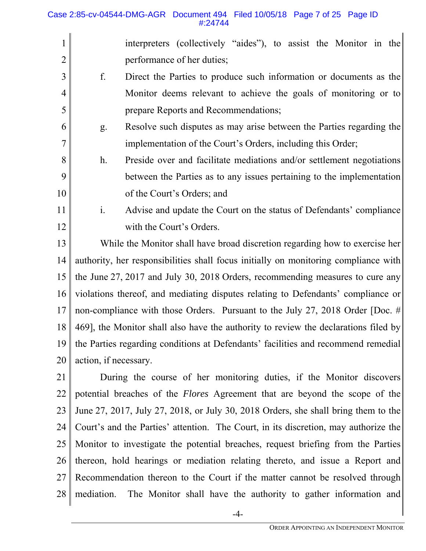## Case 2:85-cv-04544-DMG-AGR Document 494 Filed 10/05/18 Page 7 of 25 Page ID #:24744

- 1 2 interpreters (collectively "aides"), to assist the Monitor in the performance of her duties;
- 3 4 5 f. Direct the Parties to produce such information or documents as the Monitor deems relevant to achieve the goals of monitoring or to prepare Reports and Recommendations;
- 6 7 g. Resolve such disputes as may arise between the Parties regarding the implementation of the Court's Orders, including this Order;
- 8 9 10 h. Preside over and facilitate mediations and/or settlement negotiations between the Parties as to any issues pertaining to the implementation of the Court's Orders; and
- 11 12 i. Advise and update the Court on the status of Defendants' compliance with the Court's Orders.

13 14 15 16 17 18 19 20 While the Monitor shall have broad discretion regarding how to exercise her authority, her responsibilities shall focus initially on monitoring compliance with the June 27, 2017 and July 30, 2018 Orders, recommending measures to cure any violations thereof, and mediating disputes relating to Defendants' compliance or non-compliance with those Orders. Pursuant to the July 27, 2018 Order [Doc. # 469], the Monitor shall also have the authority to review the declarations filed by the Parties regarding conditions at Defendants' facilities and recommend remedial action, if necessary.

21 22 23 24 25 26 27 28 During the course of her monitoring duties, if the Monitor discovers potential breaches of the *Flores* Agreement that are beyond the scope of the June 27, 2017, July 27, 2018, or July 30, 2018 Orders, she shall bring them to the Court's and the Parties' attention. The Court, in its discretion, may authorize the Monitor to investigate the potential breaches, request briefing from the Parties thereon, hold hearings or mediation relating thereto, and issue a Report and Recommendation thereon to the Court if the matter cannot be resolved through mediation. The Monitor shall have the authority to gather information and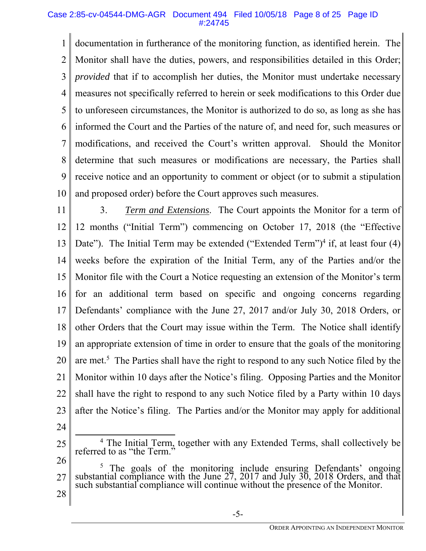#### Case 2:85-cv-04544-DMG-AGR Document 494 Filed 10/05/18 Page 8 of 25 Page ID #:24745

1 2 3 4 5 6 7 8 9 10 documentation in furtherance of the monitoring function, as identified herein. The Monitor shall have the duties, powers, and responsibilities detailed in this Order; *provided* that if to accomplish her duties, the Monitor must undertake necessary measures not specifically referred to herein or seek modifications to this Order due to unforeseen circumstances, the Monitor is authorized to do so, as long as she has informed the Court and the Parties of the nature of, and need for, such measures or modifications, and received the Court's written approval. Should the Monitor determine that such measures or modifications are necessary, the Parties shall receive notice and an opportunity to comment or object (or to submit a stipulation and proposed order) before the Court approves such measures.

11 12 13 14 15 16 17 18 19 20 21 22 23 3. *Term and Extensions*. The Court appoints the Monitor for a term of 12 months ("Initial Term") commencing on October 17, 2018 (the "Effective Date"). The Initial Term may be extended ("Extended Term")<sup>4</sup> if, at least four (4) weeks before the expiration of the Initial Term, any of the Parties and/or the Monitor file with the Court a Notice requesting an extension of the Monitor's term for an additional term based on specific and ongoing concerns regarding Defendants' compliance with the June 27, 2017 and/or July 30, 2018 Orders, or other Orders that the Court may issue within the Term. The Notice shall identify an appropriate extension of time in order to ensure that the goals of the monitoring are met.<sup>5</sup> The Parties shall have the right to respond to any such Notice filed by the Monitor within 10 days after the Notice's filing. Opposing Parties and the Monitor shall have the right to respond to any such Notice filed by a Party within 10 days after the Notice's filing. The Parties and/or the Monitor may apply for additional

<sup>25</sup>   $\frac{1}{4}$ <sup>4</sup> The Initial Term, together with any Extended Terms, shall collectively be referred to as "the Term."

<sup>26</sup>  27 28 <sup>5</sup> The goals of the monitoring include ensuring Defendants' ongoing substantial compliance with the June 27, 2017 and July 30, 2018 Orders, and that such substantial compliance will continue without the presence of the M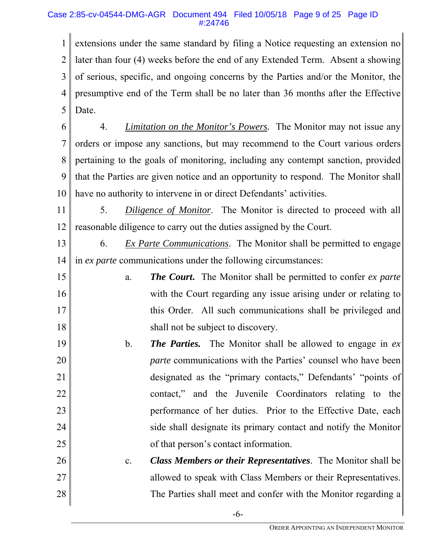## Case 2:85-cv-04544-DMG-AGR Document 494 Filed 10/05/18 Page 9 of 25 Page ID #:24746

1 2 3 4 5 extensions under the same standard by filing a Notice requesting an extension no later than four (4) weeks before the end of any Extended Term. Absent a showing of serious, specific, and ongoing concerns by the Parties and/or the Monitor, the presumptive end of the Term shall be no later than 36 months after the Effective Date.

6 7 8 9 10 4. *Limitation on the Monitor's Powers.* The Monitor may not issue any orders or impose any sanctions, but may recommend to the Court various orders pertaining to the goals of monitoring, including any contempt sanction, provided that the Parties are given notice and an opportunity to respond. The Monitor shall have no authority to intervene in or direct Defendants' activities.

11 12 5. *Diligence of Monitor*. The Monitor is directed to proceed with all reasonable diligence to carry out the duties assigned by the Court.

13 14 6. *Ex Parte Communications*. The Monitor shall be permitted to engage in *ex parte* communications under the following circumstances:

- 15 16 17 18 a. *The Court***.** The Monitor shall be permitted to confer *ex parte* with the Court regarding any issue arising under or relating to this Order. All such communications shall be privileged and shall not be subject to discovery.
- 19 20 21 22 23 24 25 b. *The Parties.* The Monitor shall be allowed to engage in *ex parte* communications with the Parties' counsel who have been designated as the "primary contacts," Defendants' "points of contact," and the Juvenile Coordinators relating to the performance of her duties. Prior to the Effective Date, each side shall designate its primary contact and notify the Monitor of that person's contact information.
- 26 27 28 c. *Class Members or their Representatives*. The Monitor shall be allowed to speak with Class Members or their Representatives. The Parties shall meet and confer with the Monitor regarding a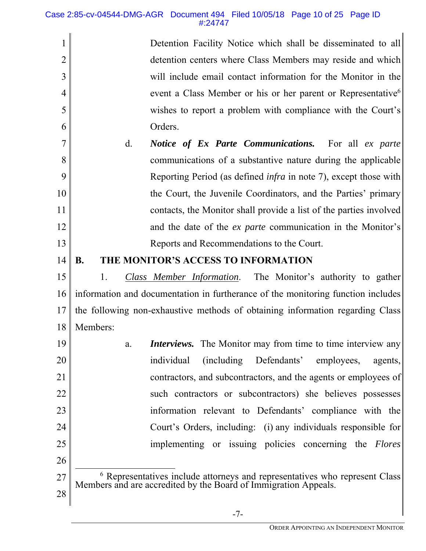1

2

3

4

5

6

Detention Facility Notice which shall be disseminated to all detention centers where Class Members may reside and which will include email contact information for the Monitor in the event a Class Member or his or her parent or Representative<sup>6</sup> wishes to report a problem with compliance with the Court's Orders.

7 8 9 10 11 12 13 d. *Notice of Ex Parte Communications.* For all *ex parte* communications of a substantive nature during the applicable Reporting Period (as defined *infra* in note 7), except those with the Court, the Juvenile Coordinators, and the Parties' primary contacts, the Monitor shall provide a list of the parties involved and the date of the *ex parte* communication in the Monitor's Reports and Recommendations to the Court.

#### 14 **B. THE MONITOR'S ACCESS TO INFORMATION**

15 16 17 18 1. *Class Member Information*. The Monitor's authority to gather information and documentation in furtherance of the monitoring function includes the following non-exhaustive methods of obtaining information regarding Class Members:

19 20 21 22 23 24 25 26 a. *Interviews.* The Monitor may from time to time interview any individual (including Defendants' employees, agents, contractors, and subcontractors, and the agents or employees of such contractors or subcontractors) she believes possesses information relevant to Defendants' compliance with the Court's Orders, including: (i) any individuals responsible for implementing or issuing policies concerning the *Flores*

27 28 **EXECUTE:**<br><sup>6</sup> Representatives include attorneys and representatives who represent Class Members and are accredited by the Board of Immigration Appeals.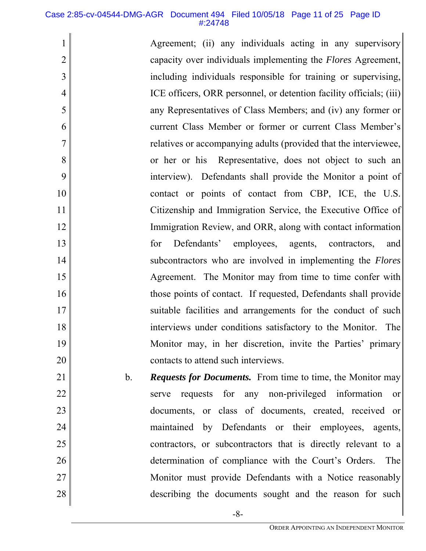#### Case 2:85-cv-04544-DMG-AGR Document 494 Filed 10/05/18 Page 11 of 25 Page ID #:24748

1

2

3

4

5

6

7

8

9

10

11

12

13

14

15

16

17

18

19

20

21

22

23

24

25

26

27

28

Agreement; (ii) any individuals acting in any supervisory capacity over individuals implementing the *Flores* Agreement, including individuals responsible for training or supervising, ICE officers, ORR personnel, or detention facility officials; (iii) any Representatives of Class Members; and (iv) any former or current Class Member or former or current Class Member's relatives or accompanying adults (provided that the interviewee, or her or his Representative, does not object to such an interview). Defendants shall provide the Monitor a point of contact or points of contact from CBP, ICE, the U.S. Citizenship and Immigration Service, the Executive Office of Immigration Review, and ORR, along with contact information for Defendants' employees, agents, contractors, and subcontractors who are involved in implementing the *Flores* Agreement. The Monitor may from time to time confer with those points of contact. If requested, Defendants shall provide suitable facilities and arrangements for the conduct of such interviews under conditions satisfactory to the Monitor. The Monitor may, in her discretion, invite the Parties' primary contacts to attend such interviews.

b. *Requests for Documents.* From time to time, the Monitor may serve requests for any non-privileged information or documents, or class of documents, created, received or maintained by Defendants or their employees, agents, contractors, or subcontractors that is directly relevant to a determination of compliance with the Court's Orders. The Monitor must provide Defendants with a Notice reasonably describing the documents sought and the reason for such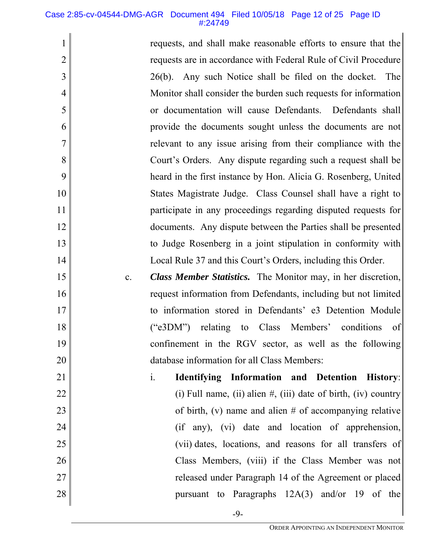#### Case 2:85-cv-04544-DMG-AGR Document 494 Filed 10/05/18 Page 12 of 25 Page ID #:24749

1

2

3

4

5

6

7

8

9

10

11

12

13

14

15

16

17

18

19

20

21

22

23

24

25

26

27

28

requests, and shall make reasonable efforts to ensure that the requests are in accordance with Federal Rule of Civil Procedure 26(b). Any such Notice shall be filed on the docket. The Monitor shall consider the burden such requests for information or documentation will cause Defendants. Defendants shall provide the documents sought unless the documents are not relevant to any issue arising from their compliance with the Court's Orders. Any dispute regarding such a request shall be heard in the first instance by Hon. Alicia G. Rosenberg, United States Magistrate Judge. Class Counsel shall have a right to participate in any proceedings regarding disputed requests for documents. Any dispute between the Parties shall be presented to Judge Rosenberg in a joint stipulation in conformity with Local Rule 37 and this Court's Orders, including this Order.

- c. *Class Member Statistics.* The Monitor may, in her discretion, request information from Defendants, including but not limited to information stored in Defendants' e3 Detention Module ("e3DM") relating to Class Members' conditions of confinement in the RGV sector, as well as the following database information for all Class Members:
- i. **Identifying Information and Detention History**: (i) Full name, (ii) alien  $\#$ , (iii) date of birth, (iv) country of birth, (v) name and alien # of accompanying relative (if any), (vi) date and location of apprehension, (vii) dates, locations, and reasons for all transfers of Class Members, (viii) if the Class Member was not released under Paragraph 14 of the Agreement or placed pursuant to Paragraphs 12A(3) and/or 19 of the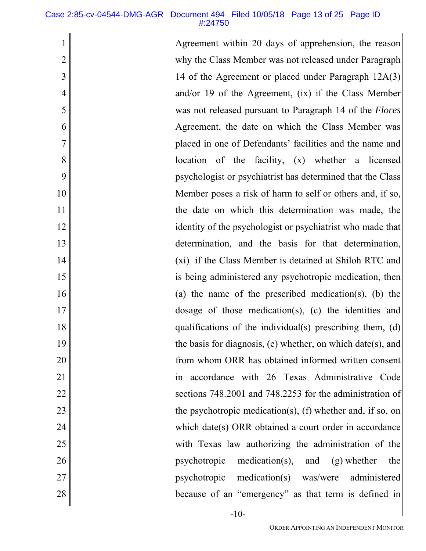1

2

3

4

5

6

7

8

9

10

11

12

13

14

15

16

17

18

19

20

21

22

23

24

25

26

27

28

Agreement within 20 days of apprehension, the reason why the Class Member was not released under Paragraph 14 of the Agreement or placed under Paragraph 12A(3) and/or 19 of the Agreement, (ix) if the Class Member was not released pursuant to Paragraph 14 of the *Flores* Agreement, the date on which the Class Member was placed in one of Defendants' facilities and the name and location of the facility, (x) whether a licensed psychologist or psychiatrist has determined that the Class Member poses a risk of harm to self or others and, if so, the date on which this determination was made, the identity of the psychologist or psychiatrist who made that determination, and the basis for that determination, (xi) if the Class Member is detained at Shiloh RTC and is being administered any psychotropic medication, then (a) the name of the prescribed medication(s), (b) the dosage of those medication(s), (c) the identities and qualifications of the individual(s) prescribing them, (d) the basis for diagnosis, (e) whether, on which date(s), and from whom ORR has obtained informed written consent in accordance with 26 Texas Administrative Code sections 748.2001 and 748.2253 for the administration of the psychotropic medication(s), (f) whether and, if so, on which date(s) ORR obtained a court order in accordance with Texas law authorizing the administration of the psychotropic medication(s), and (g) whether the psychotropic medication(s) was/were administered because of an "emergency" as that term is defined in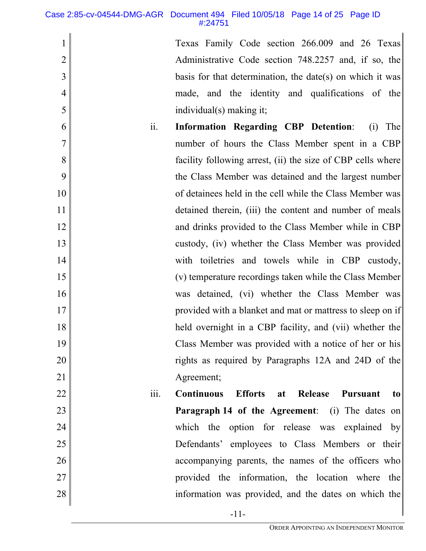1

2

3

4

5

22

23

24

25

26

27

28

Texas Family Code section 266.009 and 26 Texas Administrative Code section 748.2257 and, if so, the basis for that determination, the date(s) on which it was made, and the identity and qualifications of the individual(s) making it;

- 6 7 8 9 10 11 12 13 14 15 16 17 18 19 20 21 ii. **Information Regarding CBP Detention**: (i) The number of hours the Class Member spent in a CBP facility following arrest, (ii) the size of CBP cells where the Class Member was detained and the largest number of detainees held in the cell while the Class Member was detained therein, (iii) the content and number of meals and drinks provided to the Class Member while in CBP custody, (iv) whether the Class Member was provided with toiletries and towels while in CBP custody, (v) temperature recordings taken while the Class Member was detained, (vi) whether the Class Member was provided with a blanket and mat or mattress to sleep on if held overnight in a CBP facility, and (vii) whether the Class Member was provided with a notice of her or his rights as required by Paragraphs 12A and 24D of the Agreement;
	- iii. **Continuous Efforts at Release Pursuant to Paragraph 14 of the Agreement:** (i) The dates on which the option for release was explained by Defendants' employees to Class Members or their accompanying parents, the names of the officers who provided the information, the location where the information was provided, and the dates on which the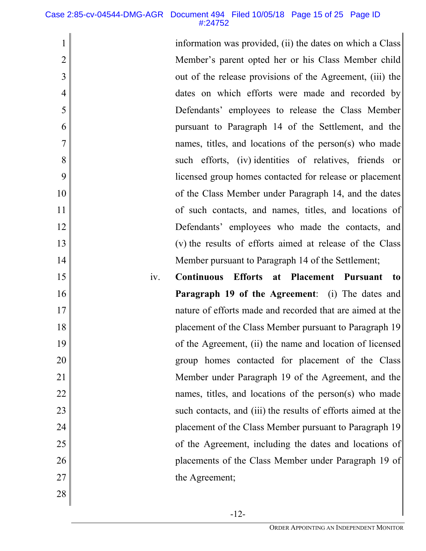information was provided, (ii) the dates on which a Class Member's parent opted her or his Class Member child out of the release provisions of the Agreement, (iii) the dates on which efforts were made and recorded by Defendants' employees to release the Class Member pursuant to Paragraph 14 of the Settlement, and the names, titles, and locations of the person(s) who made such efforts, (iv) identities of relatives, friends or licensed group homes contacted for release or placement of the Class Member under Paragraph 14, and the dates of such contacts, and names, titles, and locations of Defendants' employees who made the contacts, and (v) the results of efforts aimed at release of the Class Member pursuant to Paragraph 14 of the Settlement;

iv. **Continuous Efforts at Placement Pursuant to Paragraph 19 of the Agreement:** (i) The dates and nature of efforts made and recorded that are aimed at the placement of the Class Member pursuant to Paragraph 19 of the Agreement, (ii) the name and location of licensed group homes contacted for placement of the Class Member under Paragraph 19 of the Agreement, and the names, titles, and locations of the person(s) who made such contacts, and (iii) the results of efforts aimed at the placement of the Class Member pursuant to Paragraph 19 of the Agreement, including the dates and locations of placements of the Class Member under Paragraph 19 of the Agreement;

28

27

1

2

3

4

5

6

7

8

9

10

11

12

13

14

15

16

17

18

19

20

21

22

23

24

25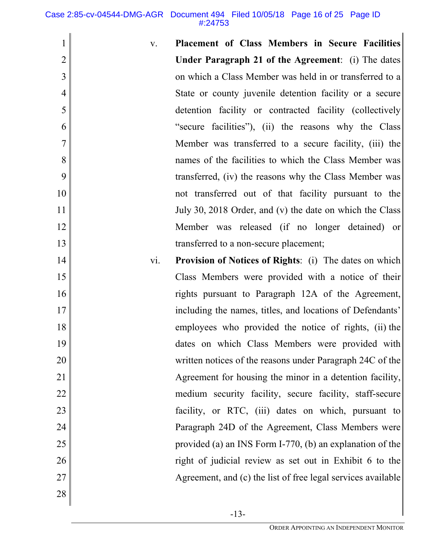Case 2:85-cv-04544-DMG-AGR Document 494 Filed 10/05/18 Page 16 of 25 Page ID #:24753

- 1 2 3 4 5 6 7 8 9 10 11 12 13 14 15 16 17 18 19 20 21 22 23 24 25 26 27 v. **Placement of Class Members in Secure Facilities Under Paragraph 21 of the Agreement**: (i) The dates on which a Class Member was held in or transferred to a State or county juvenile detention facility or a secure detention facility or contracted facility (collectively "secure facilities"), (ii) the reasons why the Class Member was transferred to a secure facility, (iii) the names of the facilities to which the Class Member was transferred, (iv) the reasons why the Class Member was not transferred out of that facility pursuant to the July 30, 2018 Order, and (v) the date on which the Class Member was released (if no longer detained) or transferred to a non-secure placement; vi. **Provision of Notices of Rights**: (i) The dates on which Class Members were provided with a notice of their rights pursuant to Paragraph 12A of the Agreement, including the names, titles, and locations of Defendants' employees who provided the notice of rights, (ii) the dates on which Class Members were provided with written notices of the reasons under Paragraph 24C of the Agreement for housing the minor in a detention facility, medium security facility, secure facility, staff-secure facility, or RTC, (iii) dates on which, pursuant to Paragraph 24D of the Agreement, Class Members were provided (a) an INS Form I-770, (b) an explanation of the right of judicial review as set out in Exhibit 6 to the Agreement, and (c) the list of free legal services available
- 28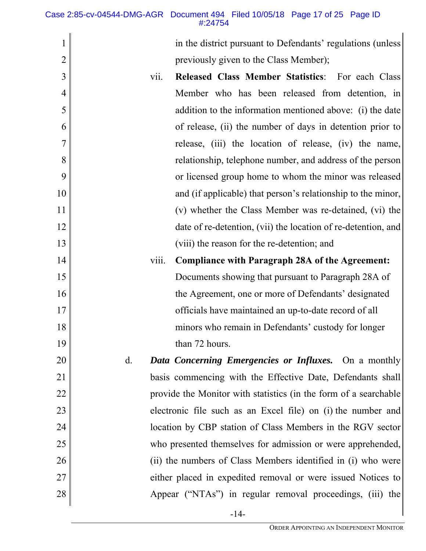Case 2:85-cv-04544-DMG-AGR Document 494 Filed 10/05/18 Page 17 of 25 Page ID #:24754

|                | in the district pursuant to Defendants' regulations (unless        |
|----------------|--------------------------------------------------------------------|
| $\overline{2}$ | previously given to the Class Member);                             |
| 3              | Released Class Member Statistics: For each Class<br>vii.           |
| 4              | Member who has been released from detention, in                    |
| 5              | addition to the information mentioned above: (i) the date          |
| 6              | of release, (ii) the number of days in detention prior to          |
| 7              | release, (iii) the location of release, (iv) the name,             |
| 8              | relationship, telephone number, and address of the person          |
| 9              | or licensed group home to whom the minor was released              |
| 10             | and (if applicable) that person's relationship to the minor,       |
| 11             | (v) whether the Class Member was re-detained, (vi) the             |
| 12             | date of re-detention, (vii) the location of re-detention, and      |
| 13             | (viii) the reason for the re-detention; and                        |
| 14             | viii.<br><b>Compliance with Paragraph 28A of the Agreement:</b>    |
| 15             | Documents showing that pursuant to Paragraph 28A of                |
| 16             | the Agreement, one or more of Defendants' designated               |
| 17             | officials have maintained an up-to-date record of all              |
| 18             | minors who remain in Defendants' custody for longer                |
| 19             | than 72 hours.                                                     |
| 20             | <b>Data Concerning Emergencies or Influxes.</b> On a monthly<br>d. |
| 21             | basis commencing with the Effective Date, Defendants shall         |
| 22             | provide the Monitor with statistics (in the form of a searchable   |
| 23             | electronic file such as an Excel file) on (i) the number and       |
| 24             | location by CBP station of Class Members in the RGV sector         |
| 25             | who presented themselves for admission or were apprehended,        |
| 26             | (ii) the numbers of Class Members identified in (i) who were       |
| 27             | either placed in expedited removal or were issued Notices to       |
| 28             | Appear ("NTAs") in regular removal proceedings, (iii) the          |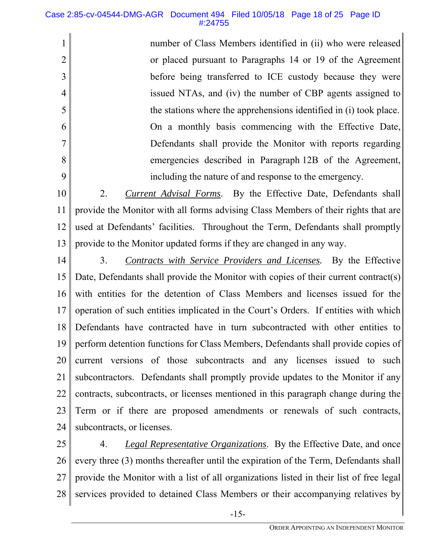#### Case 2:85-cv-04544-DMG-AGR Document 494 Filed 10/05/18 Page 18 of 25 Page ID #:24755

number of Class Members identified in (ii) who were released or placed pursuant to Paragraphs 14 or 19 of the Agreement before being transferred to ICE custody because they were issued NTAs, and (iv) the number of CBP agents assigned to the stations where the apprehensions identified in (i) took place. On a monthly basis commencing with the Effective Date, Defendants shall provide the Monitor with reports regarding emergencies described in Paragraph 12B of the Agreement, including the nature of and response to the emergency.

10 11 12 13 2. *Current Advisal Forms*. By the Effective Date, Defendants shall provide the Monitor with all forms advising Class Members of their rights that are used at Defendants' facilities. Throughout the Term, Defendants shall promptly provide to the Monitor updated forms if they are changed in any way.

14

1

2

3

4

5

6

7

8

9

15 16 17 18 19 20 21 22 23 24 3. *Contracts with Service Providers and Licenses.* By the Effective Date, Defendants shall provide the Monitor with copies of their current contract(s) with entities for the detention of Class Members and licenses issued for the operation of such entities implicated in the Court's Orders. If entities with which Defendants have contracted have in turn subcontracted with other entities to perform detention functions for Class Members, Defendants shall provide copies of current versions of those subcontracts and any licenses issued to such subcontractors. Defendants shall promptly provide updates to the Monitor if any contracts, subcontracts, or licenses mentioned in this paragraph change during the Term or if there are proposed amendments or renewals of such contracts, subcontracts, or licenses.

25 26 27 28 4. *Legal Representative Organizations*. By the Effective Date, and once every three (3) months thereafter until the expiration of the Term, Defendants shall provide the Monitor with a list of all organizations listed in their list of free legal services provided to detained Class Members or their accompanying relatives by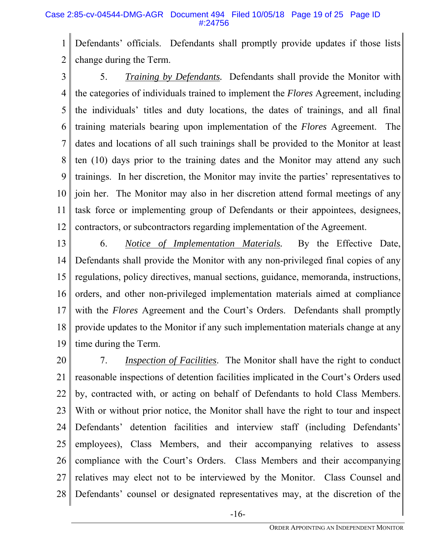#### Case 2:85-cv-04544-DMG-AGR Document 494 Filed 10/05/18 Page 19 of 25 Page ID #:24756

1 2 Defendants' officials. Defendants shall promptly provide updates if those lists change during the Term.

3 4 5 6 7 8 9 10 11 12 5. *Training by Defendants.* Defendants shall provide the Monitor with the categories of individuals trained to implement the *Flores* Agreement, including the individuals' titles and duty locations, the dates of trainings, and all final training materials bearing upon implementation of the *Flores* Agreement. The dates and locations of all such trainings shall be provided to the Monitor at least ten (10) days prior to the training dates and the Monitor may attend any such trainings. In her discretion, the Monitor may invite the parties' representatives to join her. The Monitor may also in her discretion attend formal meetings of any task force or implementing group of Defendants or their appointees, designees, contractors, or subcontractors regarding implementation of the Agreement.

13 14 15 16 17 18 19 6. *Notice of Implementation Materials.* By the Effective Date, Defendants shall provide the Monitor with any non-privileged final copies of any regulations, policy directives, manual sections, guidance, memoranda, instructions, orders, and other non-privileged implementation materials aimed at compliance with the *Flores* Agreement and the Court's Orders. Defendants shall promptly provide updates to the Monitor if any such implementation materials change at any time during the Term.

20 21 22 23 24 25 26 27 28 7. *Inspection of Facilities*. The Monitor shall have the right to conduct reasonable inspections of detention facilities implicated in the Court's Orders used by, contracted with, or acting on behalf of Defendants to hold Class Members. With or without prior notice, the Monitor shall have the right to tour and inspect Defendants' detention facilities and interview staff (including Defendants' employees), Class Members, and their accompanying relatives to assess compliance with the Court's Orders. Class Members and their accompanying relatives may elect not to be interviewed by the Monitor. Class Counsel and Defendants' counsel or designated representatives may, at the discretion of the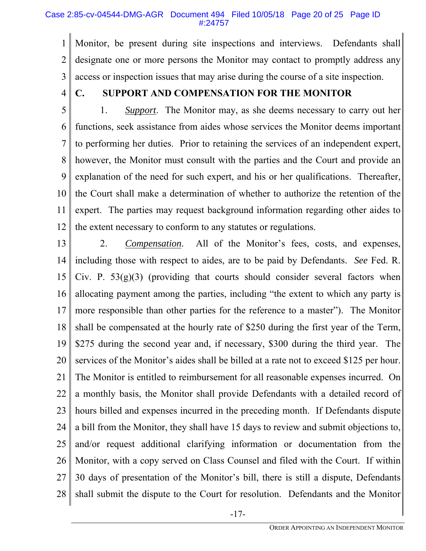#### Case 2:85-cv-04544-DMG-AGR Document 494 Filed 10/05/18 Page 20 of 25 Page ID #:24757

1 2 3 Monitor, be present during site inspections and interviews. Defendants shall designate one or more persons the Monitor may contact to promptly address any access or inspection issues that may arise during the course of a site inspection.

4

# **C. SUPPORT AND COMPENSATION FOR THE MONITOR**

5 6 7 8 9 10 11 12 1. *Support*. The Monitor may, as she deems necessary to carry out her functions, seek assistance from aides whose services the Monitor deems important to performing her duties. Prior to retaining the services of an independent expert, however, the Monitor must consult with the parties and the Court and provide an explanation of the need for such expert, and his or her qualifications. Thereafter, the Court shall make a determination of whether to authorize the retention of the expert. The parties may request background information regarding other aides to the extent necessary to conform to any statutes or regulations.

13 14 15 16 17 18 19 20 21 22 23 24 25 26 27 28 2. *Compensation*. All of the Monitor's fees, costs, and expenses, including those with respect to aides, are to be paid by Defendants. *See* Fed. R. Civ. P.  $53(g)(3)$  (providing that courts should consider several factors when allocating payment among the parties, including "the extent to which any party is more responsible than other parties for the reference to a master"). The Monitor shall be compensated at the hourly rate of \$250 during the first year of the Term, \$275 during the second year and, if necessary, \$300 during the third year. The services of the Monitor's aides shall be billed at a rate not to exceed \$125 per hour. The Monitor is entitled to reimbursement for all reasonable expenses incurred. On a monthly basis, the Monitor shall provide Defendants with a detailed record of hours billed and expenses incurred in the preceding month. If Defendants dispute a bill from the Monitor, they shall have 15 days to review and submit objections to, and/or request additional clarifying information or documentation from the Monitor, with a copy served on Class Counsel and filed with the Court. If within 30 days of presentation of the Monitor's bill, there is still a dispute, Defendants shall submit the dispute to the Court for resolution. Defendants and the Monitor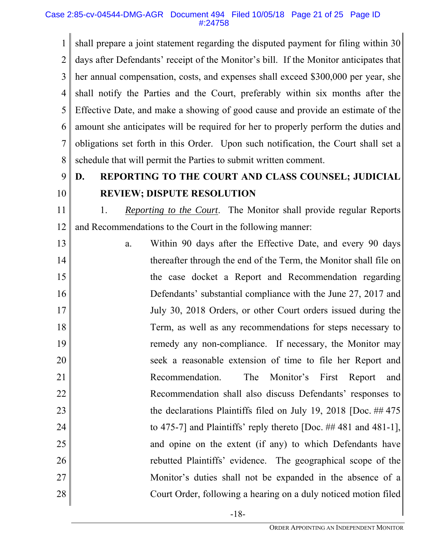#### Case 2:85-cv-04544-DMG-AGR Document 494 Filed 10/05/18 Page 21 of 25 Page ID #:24758

1 2 3 4 5 6 7 8 shall prepare a joint statement regarding the disputed payment for filing within 30 days after Defendants' receipt of the Monitor's bill. If the Monitor anticipates that her annual compensation, costs, and expenses shall exceed \$300,000 per year, she shall notify the Parties and the Court, preferably within six months after the Effective Date, and make a showing of good cause and provide an estimate of the amount she anticipates will be required for her to properly perform the duties and obligations set forth in this Order. Upon such notification, the Court shall set a schedule that will permit the Parties to submit written comment.

#### 9 10 **D. REPORTING TO THE COURT AND CLASS COUNSEL; JUDICIAL REVIEW; DISPUTE RESOLUTION**

11 12 1. *Reporting to the Court*. The Monitor shall provide regular Reports and Recommendations to the Court in the following manner:

13 14 15 16 17 18 19 20 21 22 23 24 25 26 27 28 a. Within 90 days after the Effective Date, and every 90 days thereafter through the end of the Term, the Monitor shall file on the case docket a Report and Recommendation regarding Defendants' substantial compliance with the June 27, 2017 and July 30, 2018 Orders, or other Court orders issued during the Term, as well as any recommendations for steps necessary to remedy any non-compliance. If necessary, the Monitor may seek a reasonable extension of time to file her Report and Recommendation. The Monitor's First Report and Recommendation shall also discuss Defendants' responses to the declarations Plaintiffs filed on July 19, 2018 [Doc. ## 475 to 475-7] and Plaintiffs' reply thereto [Doc. ## 481 and 481-1], and opine on the extent (if any) to which Defendants have rebutted Plaintiffs' evidence. The geographical scope of the Monitor's duties shall not be expanded in the absence of a Court Order, following a hearing on a duly noticed motion filed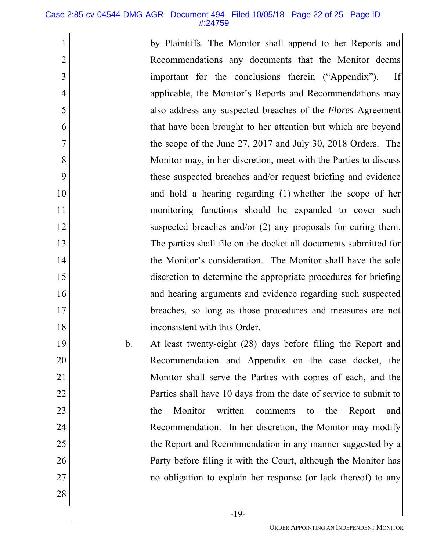#### Case 2:85-cv-04544-DMG-AGR Document 494 Filed 10/05/18 Page 22 of 25 Page ID #:24759

by Plaintiffs. The Monitor shall append to her Reports and Recommendations any documents that the Monitor deems important for the conclusions therein ("Appendix"). If applicable, the Monitor's Reports and Recommendations may also address any suspected breaches of the *Flores* Agreement that have been brought to her attention but which are beyond the scope of the June 27, 2017 and July 30, 2018 Orders. The Monitor may, in her discretion, meet with the Parties to discuss these suspected breaches and/or request briefing and evidence and hold a hearing regarding (1) whether the scope of her monitoring functions should be expanded to cover such suspected breaches and/or (2) any proposals for curing them. The parties shall file on the docket all documents submitted for the Monitor's consideration. The Monitor shall have the sole discretion to determine the appropriate procedures for briefing and hearing arguments and evidence regarding such suspected breaches, so long as those procedures and measures are not inconsistent with this Order.

b. At least twenty-eight (28) days before filing the Report and Recommendation and Appendix on the case docket, the Monitor shall serve the Parties with copies of each, and the Parties shall have 10 days from the date of service to submit to the Monitor written comments to the Report and Recommendation. In her discretion, the Monitor may modify the Report and Recommendation in any manner suggested by a Party before filing it with the Court, although the Monitor has no obligation to explain her response (or lack thereof) to any

28

27

1

2

3

4

5

6

7

8

9

10

11

12

13

14

15

16

17

18

19

20

21

22

23

24

25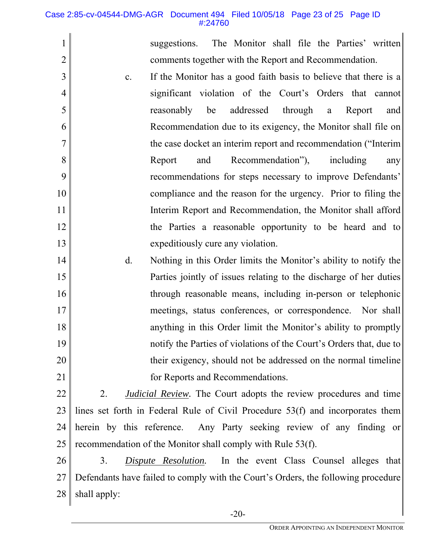#### Case 2:85-cv-04544-DMG-AGR Document 494 Filed 10/05/18 Page 23 of 25 Page ID #:24760

1

2

suggestions. The Monitor shall file the Parties' written comments together with the Report and Recommendation.

- 3 4 5 6 7 8 9 10 11 12 13 c. If the Monitor has a good faith basis to believe that there is a significant violation of the Court's Orders that cannot reasonably be addressed through a Report and Recommendation due to its exigency, the Monitor shall file on the case docket an interim report and recommendation ("Interim Report and Recommendation"), including any recommendations for steps necessary to improve Defendants' compliance and the reason for the urgency. Prior to filing the Interim Report and Recommendation, the Monitor shall afford the Parties a reasonable opportunity to be heard and to expeditiously cure any violation.
- 14 15 16 17 18 19 20 21 d. Nothing in this Order limits the Monitor's ability to notify the Parties jointly of issues relating to the discharge of her duties through reasonable means, including in-person or telephonic meetings, status conferences, or correspondence. Nor shall anything in this Order limit the Monitor's ability to promptly notify the Parties of violations of the Court's Orders that, due to their exigency, should not be addressed on the normal timeline for Reports and Recommendations.
- 22 23 24 25 2. *Judicial Review.* The Court adopts the review procedures and time lines set forth in Federal Rule of Civil Procedure 53(f) and incorporates them herein by this reference. Any Party seeking review of any finding or recommendation of the Monitor shall comply with Rule 53(f).
- 26 27 28 3. *Dispute Resolution.* In the event Class Counsel alleges that Defendants have failed to comply with the Court's Orders, the following procedure shall apply: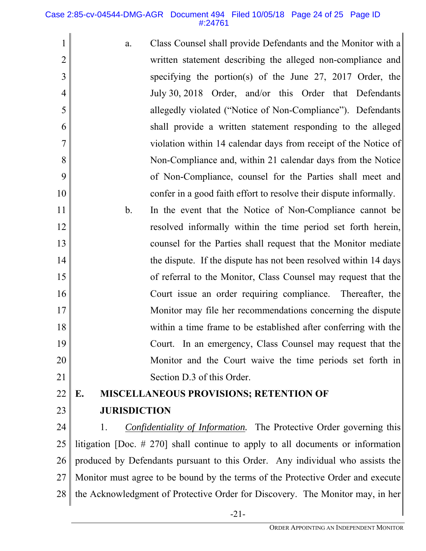#### Case 2:85-cv-04544-DMG-AGR Document 494 Filed 10/05/18 Page 24 of 25 Page ID #:24761

- 1 2 3 4 5 6 7 8 9 10 a. Class Counsel shall provide Defendants and the Monitor with a written statement describing the alleged non-compliance and specifying the portion(s) of the June 27, 2017 Order, the July 30, 2018 Order, and/or this Order that Defendants allegedly violated ("Notice of Non-Compliance"). Defendants shall provide a written statement responding to the alleged violation within 14 calendar days from receipt of the Notice of Non-Compliance and, within 21 calendar days from the Notice of Non-Compliance, counsel for the Parties shall meet and confer in a good faith effort to resolve their dispute informally.
- 11 12 13 14 15 16 17 18 19 20 21 b. In the event that the Notice of Non-Compliance cannot be resolved informally within the time period set forth herein, counsel for the Parties shall request that the Monitor mediate the dispute. If the dispute has not been resolved within 14 days of referral to the Monitor, Class Counsel may request that the Court issue an order requiring compliance. Thereafter, the Monitor may file her recommendations concerning the dispute within a time frame to be established after conferring with the Court. In an emergency, Class Counsel may request that the Monitor and the Court waive the time periods set forth in Section D.3 of this Order.

#### 22 **E. MISCELLANEOUS PROVISIONS; RETENTION OF**

23

# **JURISDICTION**

24 25 26 27 28 1. *Confidentiality of Information.* The Protective Order governing this litigation [Doc. # 270] shall continue to apply to all documents or information produced by Defendants pursuant to this Order. Any individual who assists the Monitor must agree to be bound by the terms of the Protective Order and execute the Acknowledgment of Protective Order for Discovery. The Monitor may, in her